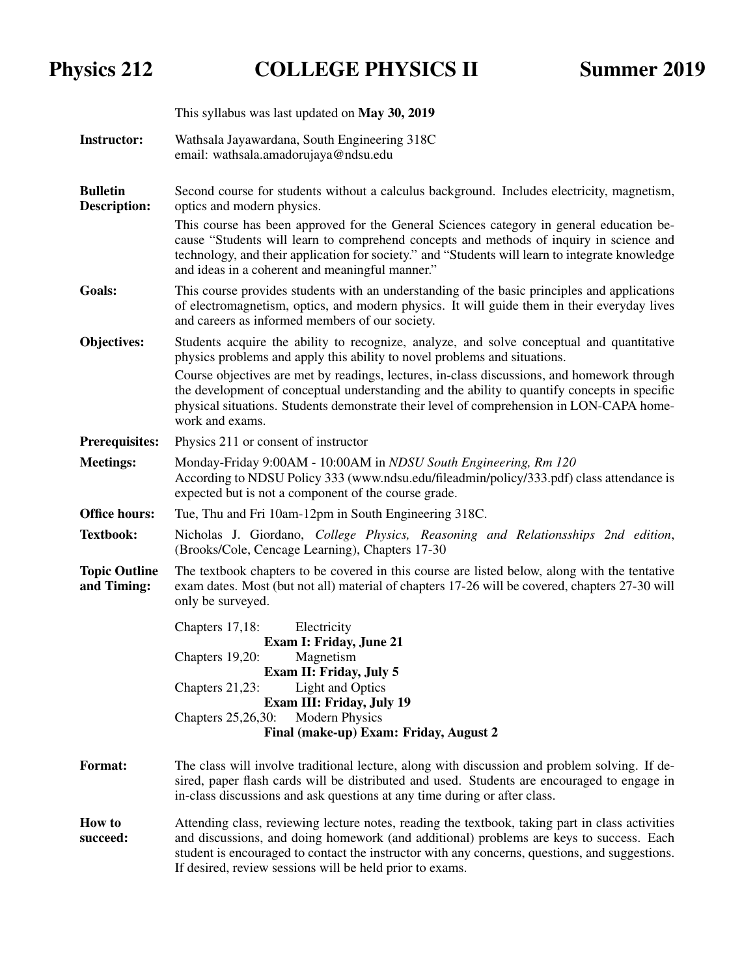## Physics 212 COLLEGE PHYSICS II Summer 2019

|                                        | This syllabus was last updated on May 30, 2019                                                                                                                                                                                                                                                                                                                                                                                                                                       |  |  |  |  |
|----------------------------------------|--------------------------------------------------------------------------------------------------------------------------------------------------------------------------------------------------------------------------------------------------------------------------------------------------------------------------------------------------------------------------------------------------------------------------------------------------------------------------------------|--|--|--|--|
| <b>Instructor:</b>                     | Wathsala Jayawardana, South Engineering 318C<br>email: wathsala.amadorujaya@ndsu.edu                                                                                                                                                                                                                                                                                                                                                                                                 |  |  |  |  |
| <b>Bulletin</b><br><b>Description:</b> | Second course for students without a calculus background. Includes electricity, magnetism,<br>optics and modern physics.<br>This course has been approved for the General Sciences category in general education be-<br>cause "Students will learn to comprehend concepts and methods of inquiry in science and<br>technology, and their application for society." and "Students will learn to integrate knowledge                                                                   |  |  |  |  |
|                                        | and ideas in a coherent and meaningful manner."                                                                                                                                                                                                                                                                                                                                                                                                                                      |  |  |  |  |
| <b>Goals:</b>                          | This course provides students with an understanding of the basic principles and applications<br>of electromagnetism, optics, and modern physics. It will guide them in their everyday lives<br>and careers as informed members of our society.                                                                                                                                                                                                                                       |  |  |  |  |
| Objectives:                            | Students acquire the ability to recognize, analyze, and solve conceptual and quantitative<br>physics problems and apply this ability to novel problems and situations.<br>Course objectives are met by readings, lectures, in-class discussions, and homework through<br>the development of conceptual understanding and the ability to quantify concepts in specific<br>physical situations. Students demonstrate their level of comprehension in LON-CAPA home-<br>work and exams. |  |  |  |  |
| <b>Prerequisites:</b>                  | Physics 211 or consent of instructor                                                                                                                                                                                                                                                                                                                                                                                                                                                 |  |  |  |  |
| <b>Meetings:</b>                       | Monday-Friday 9:00AM - 10:00AM in NDSU South Engineering, Rm 120<br>According to NDSU Policy 333 (www.ndsu.edu/fileadmin/policy/333.pdf) class attendance is<br>expected but is not a component of the course grade.                                                                                                                                                                                                                                                                 |  |  |  |  |
| <b>Office hours:</b>                   | Tue, Thu and Fri 10am-12pm in South Engineering 318C.                                                                                                                                                                                                                                                                                                                                                                                                                                |  |  |  |  |
| <b>Textbook:</b>                       | Nicholas J. Giordano, College Physics, Reasoning and Relationsships 2nd edition,<br>(Brooks/Cole, Cencage Learning), Chapters 17-30                                                                                                                                                                                                                                                                                                                                                  |  |  |  |  |
| <b>Topic Outline</b><br>and Timing:    | The textbook chapters to be covered in this course are listed below, along with the tentative<br>exam dates. Most (but not all) material of chapters 17-26 will be covered, chapters 27-30 will<br>only be surveyed.                                                                                                                                                                                                                                                                 |  |  |  |  |
|                                        | Chapters 17,18:<br>Electricity<br><b>Exam I: Friday, June 21</b><br>Chapters 19,20:<br>Magnetism<br>Exam II: Friday, July 5<br><b>Light and Optics</b><br>Chapters $21,23$ :<br>Exam III: Friday, July 19<br><b>Modern Physics</b><br>Chapters 25,26,30:<br>Final (make-up) Exam: Friday, August 2                                                                                                                                                                                   |  |  |  |  |
| <b>Format:</b>                         | The class will involve traditional lecture, along with discussion and problem solving. If de-<br>sired, paper flash cards will be distributed and used. Students are encouraged to engage in<br>in-class discussions and ask questions at any time during or after class.                                                                                                                                                                                                            |  |  |  |  |
| <b>How to</b><br>succeed:              | Attending class, reviewing lecture notes, reading the textbook, taking part in class activities<br>and discussions, and doing homework (and additional) problems are keys to success. Each<br>student is encouraged to contact the instructor with any concerns, questions, and suggestions.                                                                                                                                                                                         |  |  |  |  |

If desired, review sessions will be held prior to exams.